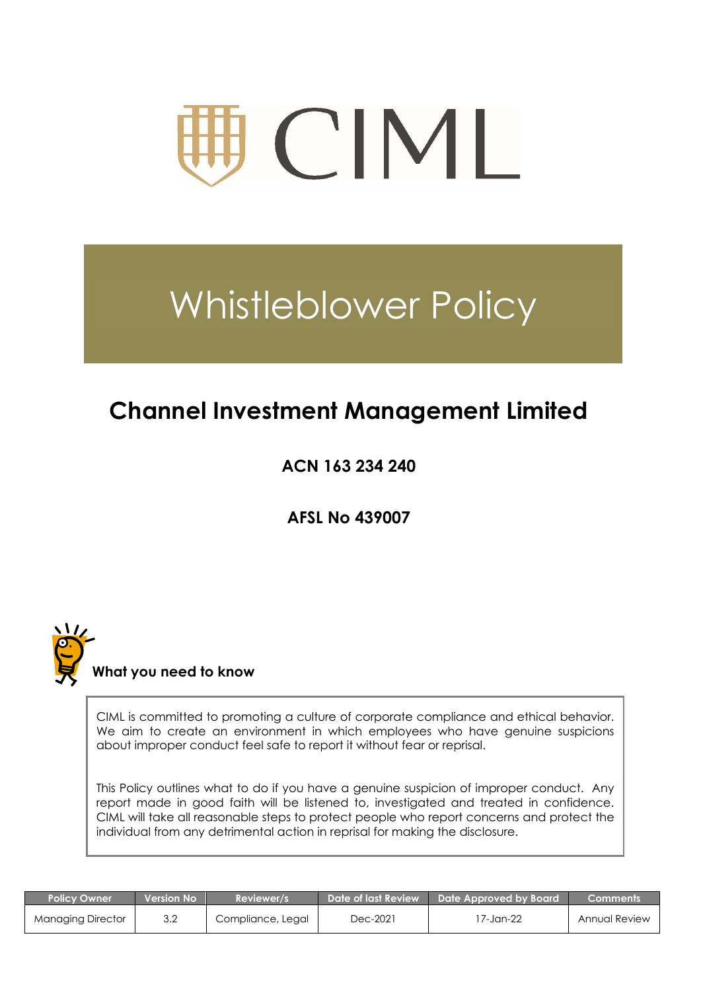

# Whistleblower Policy

## **Channel Investment Management Limited**

**ACN 163 234 240**

**AFSL No 439007**



 **What you need to know**

CIML is committed to promoting a culture of corporate compliance and ethical behavior. We aim to create an environment in which employees who have genuine suspicions about improper conduct feel safe to report it without fear or reprisal.

This Policy outlines what to do if you have a genuine suspicion of improper conduct. Any report made in good faith will be listened to, investigated and treated in confidence. CIML will take all reasonable steps to protect people who report concerns and protect the individual from any detrimental action in reprisal for making the disclosure.

| <b>Policy Owner</b> | <b>Nersion No</b> | Reviewer/s        | Date of last Review | Date Approved by Board | Comments      |
|---------------------|-------------------|-------------------|---------------------|------------------------|---------------|
| Managing Director   | 3.2               | Compliance, Legal | Dec-2021            | 7-Jan-22               | Annual Review |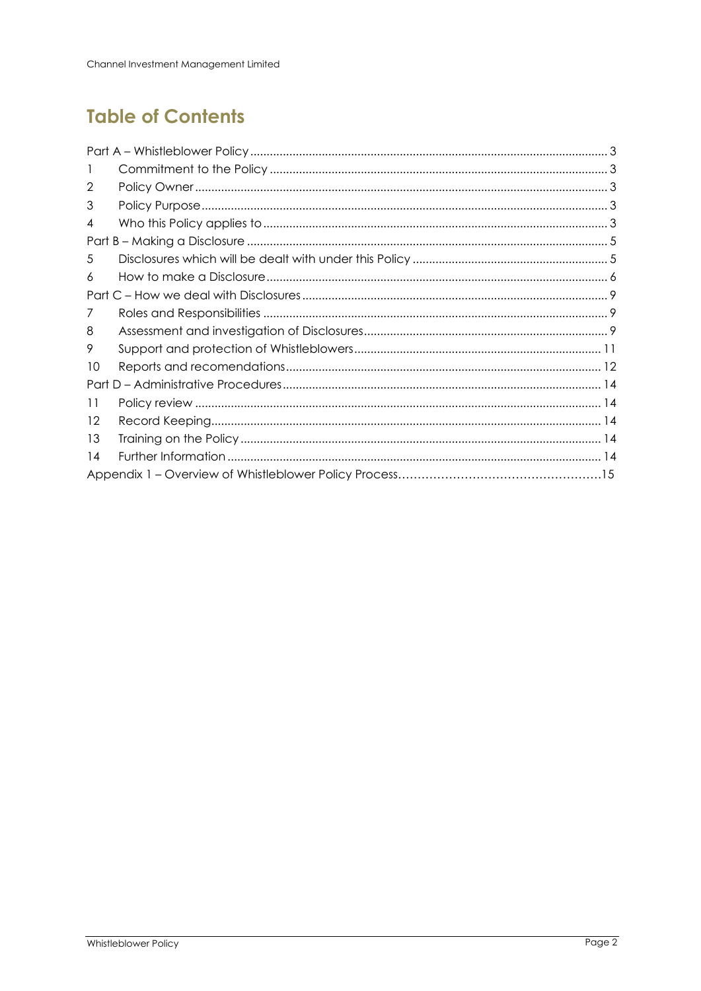## **Table of Contents**

| 1  |  |
|----|--|
| 2  |  |
| 3  |  |
| 4  |  |
|    |  |
| 5  |  |
| 6  |  |
|    |  |
| 7  |  |
| 8  |  |
| 9  |  |
| 10 |  |
|    |  |
| 11 |  |
| 12 |  |
| 13 |  |
| 14 |  |
|    |  |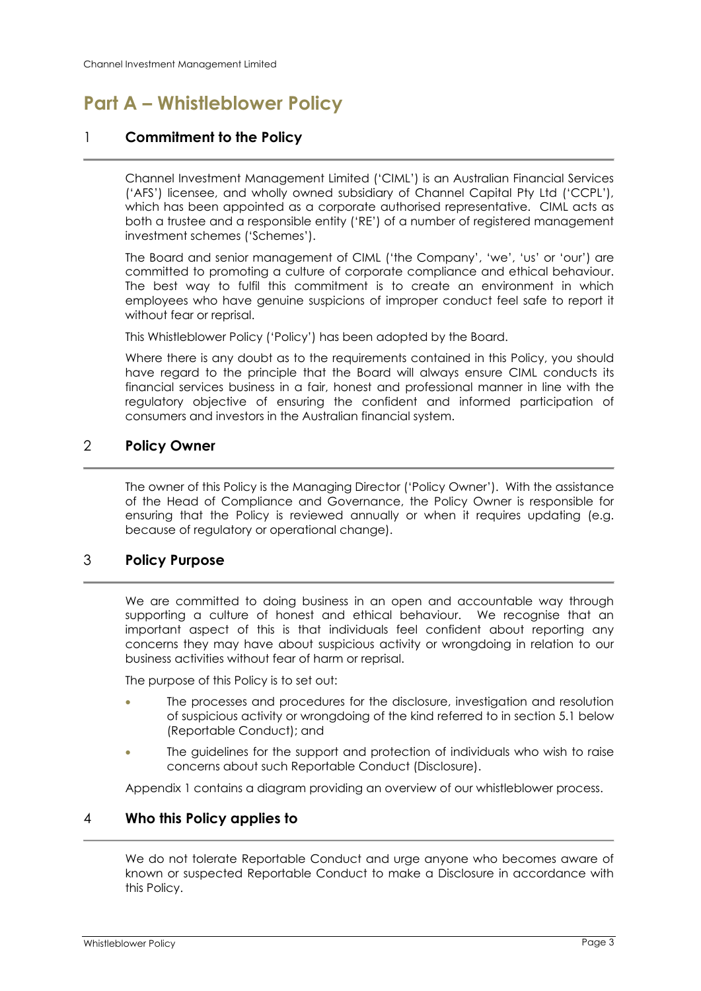## <span id="page-2-0"></span>**Part A – Whistleblower Policy**

#### <span id="page-2-1"></span>1 **Commitment to the Policy**

Channel Investment Management Limited ('CIML') is an Australian Financial Services ('AFS') licensee, and wholly owned subsidiary of Channel Capital Pty Ltd ('CCPL'), which has been appointed as a corporate authorised representative. CIML acts as both a trustee and a responsible entity ('RE') of a number of registered management investment schemes ('Schemes').

The Board and senior management of CIML ('the Company', 'we', 'us' or 'our') are committed to promoting a culture of corporate compliance and ethical behaviour. The best way to fulfil this commitment is to create an environment in which employees who have genuine suspicions of improper conduct feel safe to report it without fear or reprisal.

This Whistleblower Policy ('Policy') has been adopted by the Board.

Where there is any doubt as to the requirements contained in this Policy, you should have regard to the principle that the Board will always ensure CIML conducts its financial services business in a fair, honest and professional manner in line with the regulatory objective of ensuring the confident and informed participation of consumers and investors in the Australian financial system.

#### <span id="page-2-2"></span>2 **Policy Owner**

The owner of this Policy is the Managing Director ('Policy Owner'). With the assistance of the Head of Compliance and Governance, the Policy Owner is responsible for ensuring that the Policy is reviewed annually or when it requires updating (e.g. because of regulatory or operational change).

#### <span id="page-2-3"></span>3 **Policy Purpose**

We are committed to doing business in an open and accountable way through supporting a culture of honest and ethical behaviour. We recognise that an important aspect of this is that individuals feel confident about reporting any concerns they may have about suspicious activity or wrongdoing in relation to our business activities without fear of harm or reprisal.

The purpose of this Policy is to set out:

- The processes and procedures for the disclosure, investigation and resolution of suspicious activity or wrongdoing of the kind referred to in section [5.1](#page-4-2) below (Reportable Conduct); and
- The guidelines for the support and protection of individuals who wish to raise concerns about such Reportable Conduct (Disclosure).

Appendix 1 contains a diagram providing an overview of our whistleblower process.

#### <span id="page-2-4"></span>4 **Who this Policy applies to**

We do not tolerate Reportable Conduct and urge anyone who becomes aware of known or suspected Reportable Conduct to make a Disclosure in accordance with this Policy.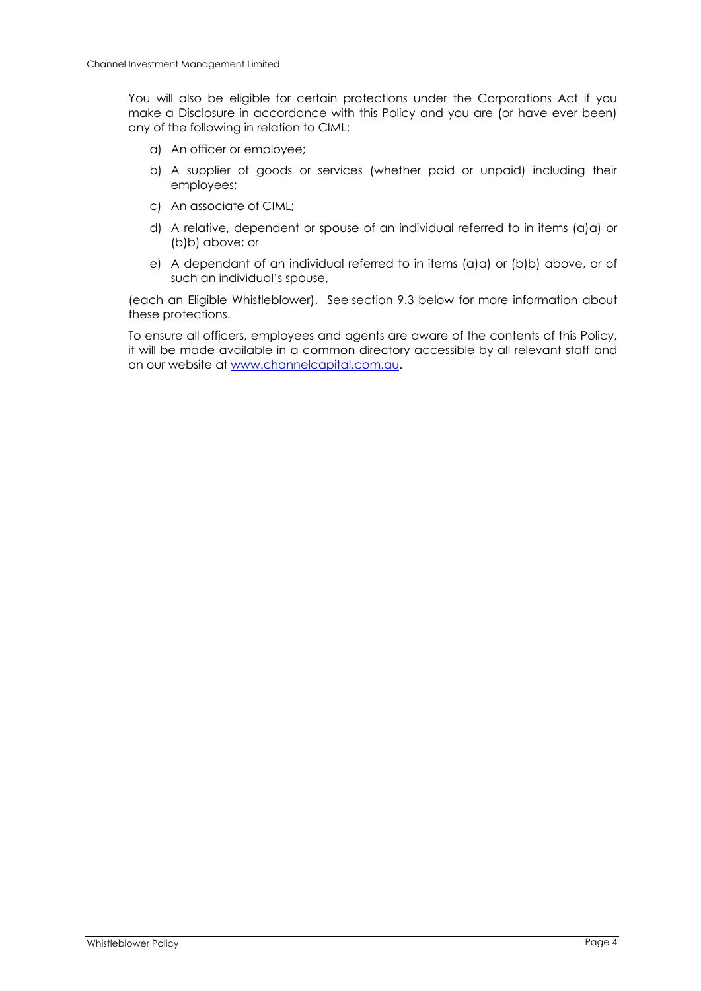You will also be eligible for certain protections under the Corporations Act if you make a Disclosure in accordance with this Policy and you are (or have ever been) any of the following in relation to CIML:

- <span id="page-3-0"></span>a) An officer or employee;
- <span id="page-3-1"></span>b) A supplier of goods or services (whether paid or unpaid) including their employees;
- c) An associate of CIML;
- d) A relative, dependent or spouse of an individual referred to in items (a[\)a\)](#page-3-0) or (b[\)b\)](#page-3-1) above; or
- e) A dependant of an individual referred to in items (a[\)a\)](#page-3-0) or (b[\)b\)](#page-3-1) above, or of such an individual's spouse,

(each an Eligible Whistleblower). See section 9.3 below for more information about these protections.

To ensure all officers, employees and agents are aware of the contents of this Policy, it will be made available in a common directory accessible by all relevant staff and on our website at [www.channelcapital.com.au.](http://www.channelcapital.com.au/)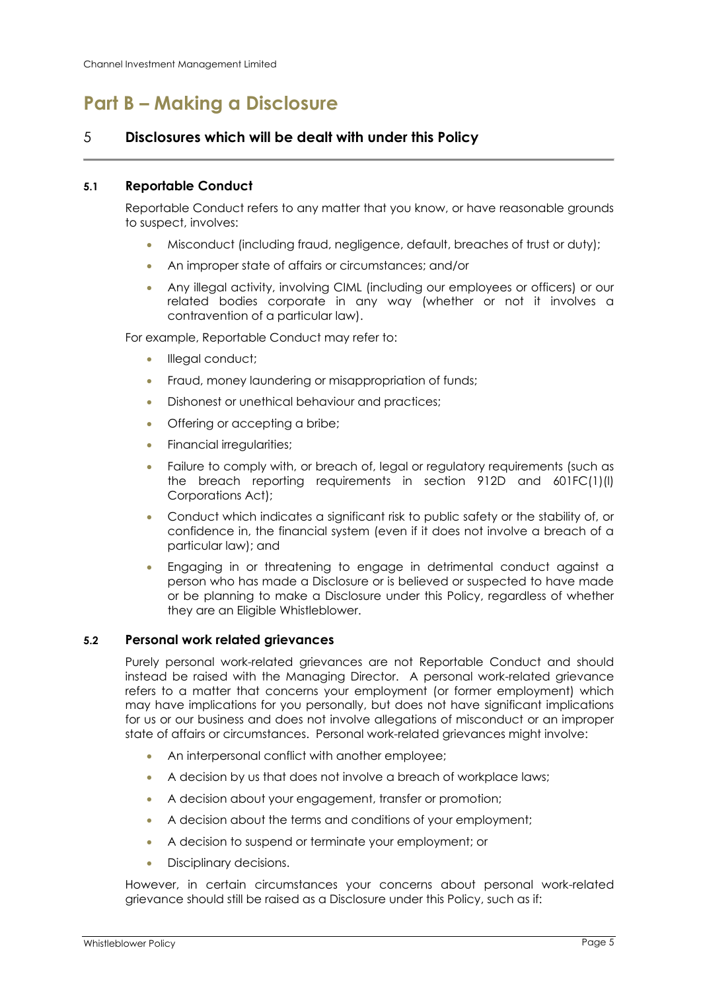### <span id="page-4-0"></span>**Part B – Making a Disclosure**

#### <span id="page-4-1"></span>5 **Disclosures which will be dealt with under this Policy**

#### <span id="page-4-2"></span>**5.1 Reportable Conduct**

Reportable Conduct refers to any matter that you know, or have reasonable grounds to suspect, involves:

- Misconduct (including fraud, negligence, default, breaches of trust or duty);
- An improper state of affairs or circumstances; and/or
- Any illegal activity, involving CIML (including our employees or officers) or our related bodies corporate in any way (whether or not it involves a contravention of a particular law).

For example, Reportable Conduct may refer to:

- Illegal conduct;
- Fraud, money laundering or misappropriation of funds;
- Dishonest or unethical behaviour and practices;
- Offering or accepting a bribe;
- Financial irregularities;
- Failure to comply with, or breach of, legal or regulatory requirements (such as the breach reporting requirements in section 912D and 601FC(1)(l) Corporations Act);
- Conduct which indicates a significant risk to public safety or the stability of, or confidence in, the financial system (even if it does not involve a breach of a particular law); and
- Engaging in or threatening to engage in detrimental conduct against a person who has made a Disclosure or is believed or suspected to have made or be planning to make a Disclosure under this Policy, regardless of whether they are an Eligible Whistleblower.

#### **5.2 Personal work related grievances**

Purely personal work-related grievances are not Reportable Conduct and should instead be raised with the Managing Director. A personal work-related grievance refers to a matter that concerns your employment (or former employment) which may have implications for you personally, but does not have significant implications for us or our business and does not involve allegations of misconduct or an improper state of affairs or circumstances. Personal work-related grievances might involve:

- An interpersonal conflict with another employee;
- A decision by us that does not involve a breach of workplace laws;
- A decision about your engagement, transfer or promotion;
- A decision about the terms and conditions of your employment;
- A decision to suspend or terminate your employment; or
- Disciplinary decisions.

However, in certain circumstances your concerns about personal work-related grievance should still be raised as a Disclosure under this Policy, such as if: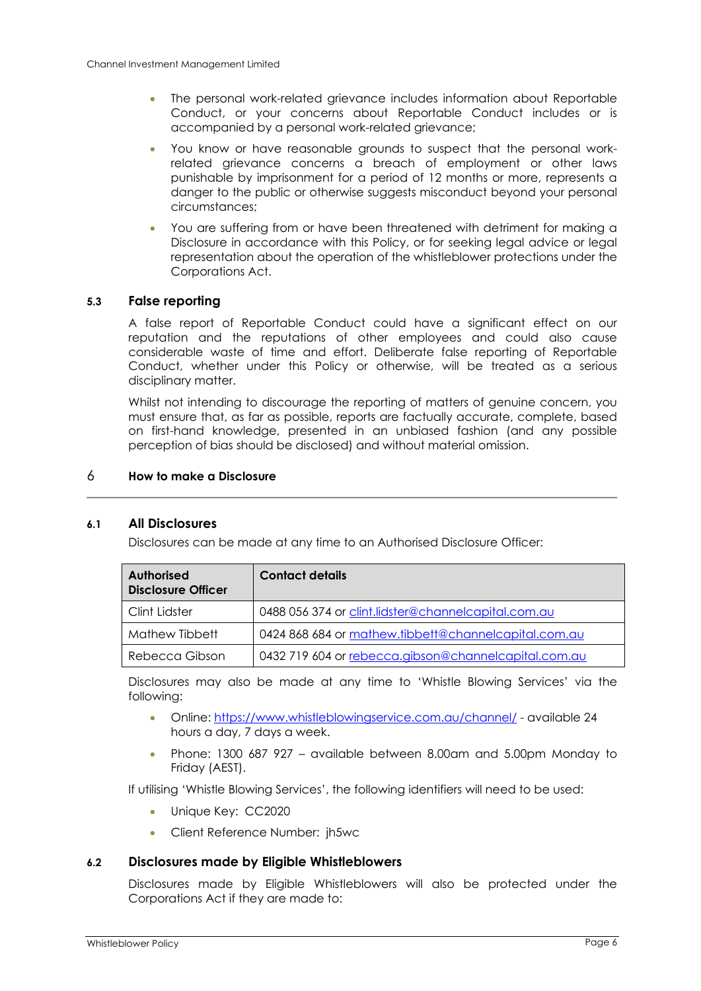- The personal work-related grievance includes information about Reportable Conduct, or your concerns about Reportable Conduct includes or is accompanied by a personal work-related grievance;
- You know or have reasonable grounds to suspect that the personal workrelated grievance concerns a breach of employment or other laws punishable by imprisonment for a period of 12 months or more, represents a danger to the public or otherwise suggests misconduct beyond your personal circumstances;
- You are suffering from or have been threatened with detriment for making a Disclosure in accordance with this Policy, or for seeking legal advice or legal representation about the operation of the whistleblower protections under the Corporations Act.

#### **5.3 False reporting**

A false report of Reportable Conduct could have a significant effect on our reputation and the reputations of other employees and could also cause considerable waste of time and effort. Deliberate false reporting of Reportable Conduct, whether under this Policy or otherwise, will be treated as a serious disciplinary matter.

Whilst not intending to discourage the reporting of matters of genuine concern, you must ensure that, as far as possible, reports are factually accurate, complete, based on first-hand knowledge, presented in an unbiased fashion (and any possible perception of bias should be disclosed) and without material omission.

#### <span id="page-5-0"></span>6 **How to make a Disclosure**

#### <span id="page-5-1"></span>**6.1 All Disclosures**

Disclosures can be made at any time to an Authorised Disclosure Officer:

| <b>Authorised</b><br><b>Disclosure Officer</b> | <b>Contact details</b>                               |
|------------------------------------------------|------------------------------------------------------|
| Clint Lidster                                  | 0488 056 374 or clint.lidster@channelcapital.com.au  |
| Mathew Tibbett                                 | 0424 868 684 or mathew.tibbett@channelcapital.com.au |
| Rebecca Gibson                                 | 0432 719 604 or rebecca.gibson@channelcapital.com.au |

Disclosures may also be made at any time to 'Whistle Blowing Services' via the following:

- Online:<https://www.whistleblowingservice.com.au/channel/> available 24 hours a day, 7 days a week.
- Phone: 1300 687 927 available between 8.00am and 5.00pm Monday to Friday (AEST).

If utilising 'Whistle Blowing Services', the following identifiers will need to be used:

- Unique Key: CC2020
- Client Reference Number: jh5wc

#### **6.2 Disclosures made by Eligible Whistleblowers**

Disclosures made by Eligible Whistleblowers will also be protected under the Corporations Act if they are made to: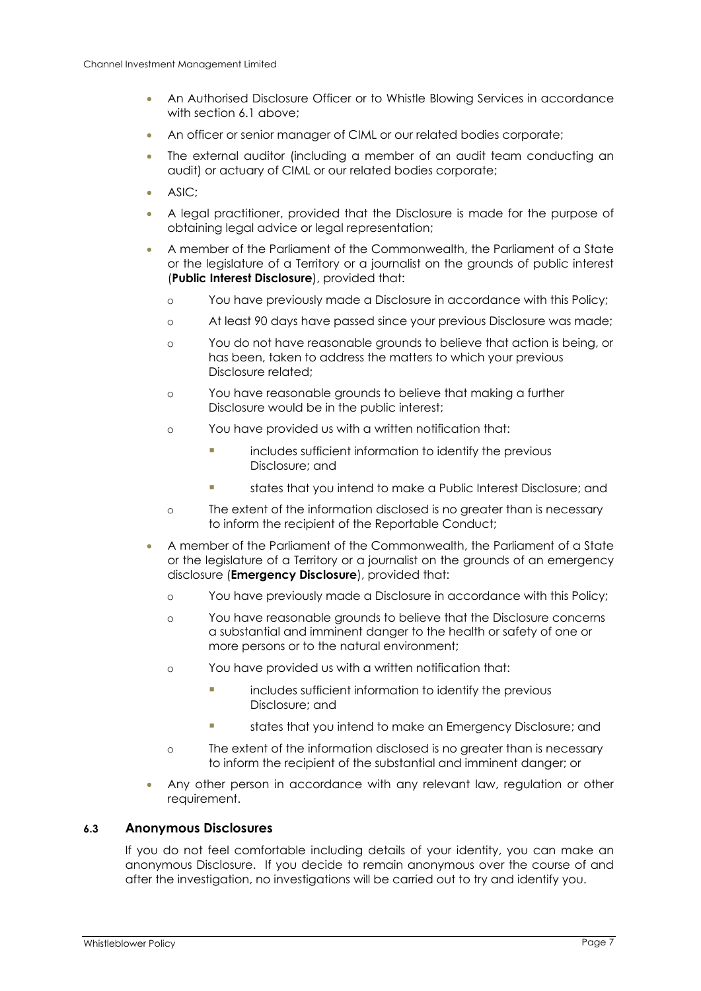- An Authorised Disclosure Officer or to Whistle Blowing Services in accordance with section [6.1](#page-5-1) above:
- An officer or senior manager of CIML or our related bodies corporate;
- The external auditor (including a member of an audit team conducting an audit) or actuary of CIML or our related bodies corporate;
- ASIC;
- A legal practitioner, provided that the Disclosure is made for the purpose of obtaining legal advice or legal representation;
- A member of the Parliament of the Commonwealth, the Parliament of a State or the legislature of a Territory or a journalist on the grounds of public interest (**Public Interest Disclosure**), provided that:
	- o You have previously made a Disclosure in accordance with this Policy;
	- o At least 90 days have passed since your previous Disclosure was made;
	- o You do not have reasonable grounds to believe that action is being, or has been, taken to address the matters to which your previous Disclosure related;
	- o You have reasonable grounds to believe that making a further Disclosure would be in the public interest;
	- o You have provided us with a written notification that:
		- includes sufficient information to identify the previous Disclosure; and
		- states that you intend to make a Public Interest Disclosure: and
	- o The extent of the information disclosed is no greater than is necessary to inform the recipient of the Reportable Conduct;
- A member of the Parliament of the Commonwealth, the Parliament of a State or the legislature of a Territory or a journalist on the grounds of an emergency disclosure (**Emergency Disclosure**), provided that:
	- o You have previously made a Disclosure in accordance with this Policy;
	- o You have reasonable grounds to believe that the Disclosure concerns a substantial and imminent danger to the health or safety of one or more persons or to the natural environment;
	- o You have provided us with a written notification that:
		- **Example 3** includes sufficient information to identify the previous Disclosure; and
		- states that you intend to make an Emergency Disclosure; and
	- o The extent of the information disclosed is no greater than is necessary to inform the recipient of the substantial and imminent danger; or
- Any other person in accordance with any relevant law, regulation or other requirement.

#### **6.3 Anonymous Disclosures**

If you do not feel comfortable including details of your identity, you can make an anonymous Disclosure. If you decide to remain anonymous over the course of and after the investigation, no investigations will be carried out to try and identify you.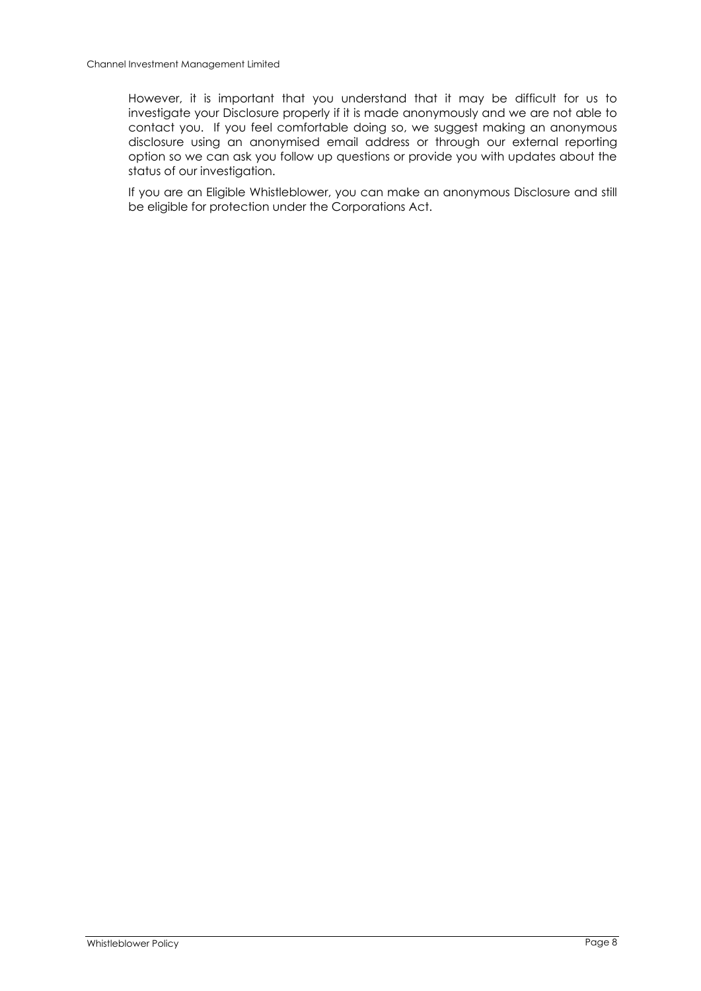However, it is important that you understand that it may be difficult for us to investigate your Disclosure properly if it is made anonymously and we are not able to contact you. If you feel comfortable doing so, we suggest making an anonymous disclosure using an anonymised email address or through our external reporting option so we can ask you follow up questions or provide you with updates about the status of our investigation.

If you are an Eligible Whistleblower, you can make an anonymous Disclosure and still be eligible for protection under the Corporations Act.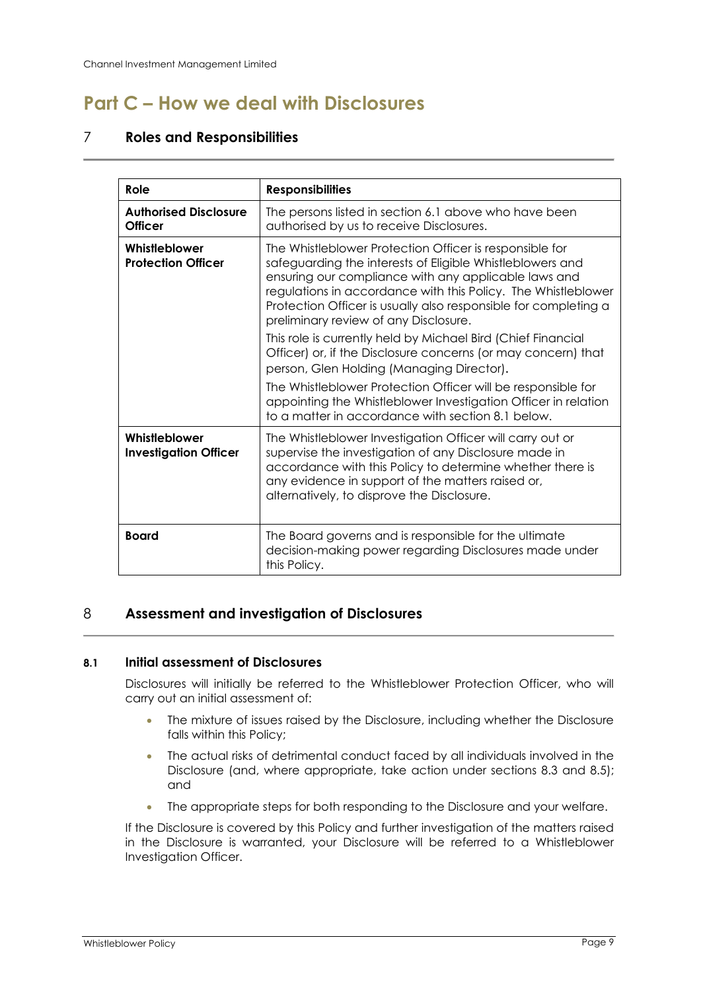## <span id="page-8-0"></span>**Part C – How we deal with Disclosures**

#### <span id="page-8-1"></span>7 **Roles and Responsibilities**

| Role                                           | <b>Responsibilities</b>                                                                                                                                                                                                                                                                                                                                   |  |
|------------------------------------------------|-----------------------------------------------------------------------------------------------------------------------------------------------------------------------------------------------------------------------------------------------------------------------------------------------------------------------------------------------------------|--|
| <b>Authorised Disclosure</b><br><b>Officer</b> | The persons listed in section 6.1 above who have been<br>authorised by us to receive Disclosures.                                                                                                                                                                                                                                                         |  |
| Whistleblower<br><b>Protection Officer</b>     | The Whistleblower Protection Officer is responsible for<br>safeguarding the interests of Eligible Whistleblowers and<br>ensuring our compliance with any applicable laws and<br>regulations in accordance with this Policy. The Whistleblower<br>Protection Officer is usually also responsible for completing a<br>preliminary review of any Disclosure. |  |
|                                                | This role is currently held by Michael Bird (Chief Financial<br>Officer) or, if the Disclosure concerns (or may concern) that<br>person, Glen Holding (Managing Director).                                                                                                                                                                                |  |
|                                                | The Whistleblower Protection Officer will be responsible for<br>appointing the Whistleblower Investigation Officer in relation<br>to a matter in accordance with section 8.1 below.                                                                                                                                                                       |  |
| Whistleblower<br><b>Investigation Officer</b>  | The Whistleblower Investigation Officer will carry out or<br>supervise the investigation of any Disclosure made in<br>accordance with this Policy to determine whether there is<br>any evidence in support of the matters raised or,<br>alternatively, to disprove the Disclosure.                                                                        |  |
| <b>Board</b>                                   | The Board governs and is responsible for the ultimate<br>decision-making power regarding Disclosures made under<br>this Policy.                                                                                                                                                                                                                           |  |

#### <span id="page-8-2"></span>8 **Assessment and investigation of Disclosures**

#### <span id="page-8-3"></span>**8.1 Initial assessment of Disclosures**

Disclosures will initially be referred to the Whistleblower Protection Officer, who will carry out an initial assessment of:

- The mixture of issues raised by the Disclosure, including whether the Disclosure falls within this Policy;
- The actual risks of detrimental conduct faced by all individuals involved in the Disclosure (and, where appropriate, take action under sections [8.3](#page-9-0) and [8.5\)](#page-9-1); and
- The appropriate steps for both responding to the Disclosure and your welfare.

If the Disclosure is covered by this Policy and further investigation of the matters raised in the Disclosure is warranted, your Disclosure will be referred to a Whistleblower Investigation Officer.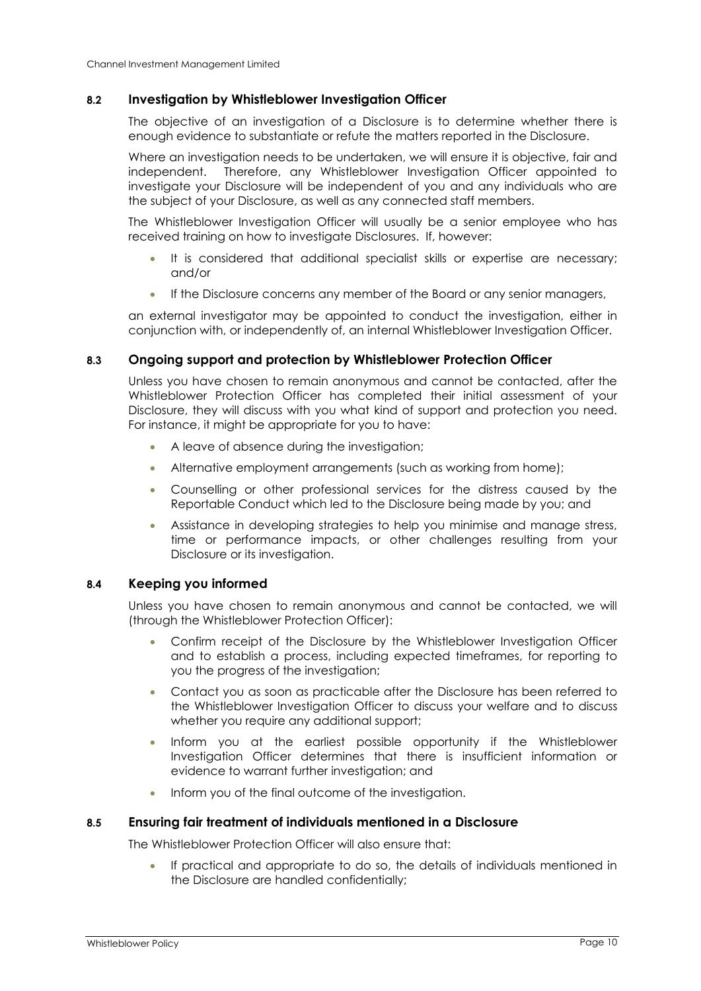#### **8.2 Investigation by Whistleblower Investigation Officer**

The objective of an investigation of a Disclosure is to determine whether there is enough evidence to substantiate or refute the matters reported in the Disclosure.

Where an investigation needs to be undertaken, we will ensure it is objective, fair and independent. Therefore, any Whistleblower Investigation Officer appointed to investigate your Disclosure will be independent of you and any individuals who are the subject of your Disclosure, as well as any connected staff members.

The Whistleblower Investigation Officer will usually be a senior employee who has received training on how to investigate Disclosures. If, however:

- It is considered that additional specialist skills or expertise are necessary; and/or
- If the Disclosure concerns any member of the Board or any senior managers,

an external investigator may be appointed to conduct the investigation, either in conjunction with, or independently of, an internal Whistleblower Investigation Officer.

#### <span id="page-9-0"></span>**8.3 Ongoing support and protection by Whistleblower Protection Officer**

Unless you have chosen to remain anonymous and cannot be contacted, after the Whistleblower Protection Officer has completed their initial assessment of your Disclosure, they will discuss with you what kind of support and protection you need. For instance, it might be appropriate for you to have:

- A leave of absence during the investigation;
- Alternative employment arrangements (such as working from home);
- Counselling or other professional services for the distress caused by the Reportable Conduct which led to the Disclosure being made by you; and
- Assistance in developing strategies to help you minimise and manage stress, time or performance impacts, or other challenges resulting from your Disclosure or its investigation.

#### **8.4 Keeping you informed**

Unless you have chosen to remain anonymous and cannot be contacted, we will (through the Whistleblower Protection Officer):

- Confirm receipt of the Disclosure by the Whistleblower Investigation Officer and to establish a process, including expected timeframes, for reporting to you the progress of the investigation;
- Contact you as soon as practicable after the Disclosure has been referred to the Whistleblower Investigation Officer to discuss your welfare and to discuss whether you require any additional support;
- Inform you at the earliest possible opportunity if the Whistleblower Investigation Officer determines that there is insufficient information or evidence to warrant further investigation; and
- Inform you of the final outcome of the investigation.

#### <span id="page-9-1"></span>**8.5 Ensuring fair treatment of individuals mentioned in a Disclosure**

The Whistleblower Protection Officer will also ensure that:

• If practical and appropriate to do so, the details of individuals mentioned in the Disclosure are handled confidentially;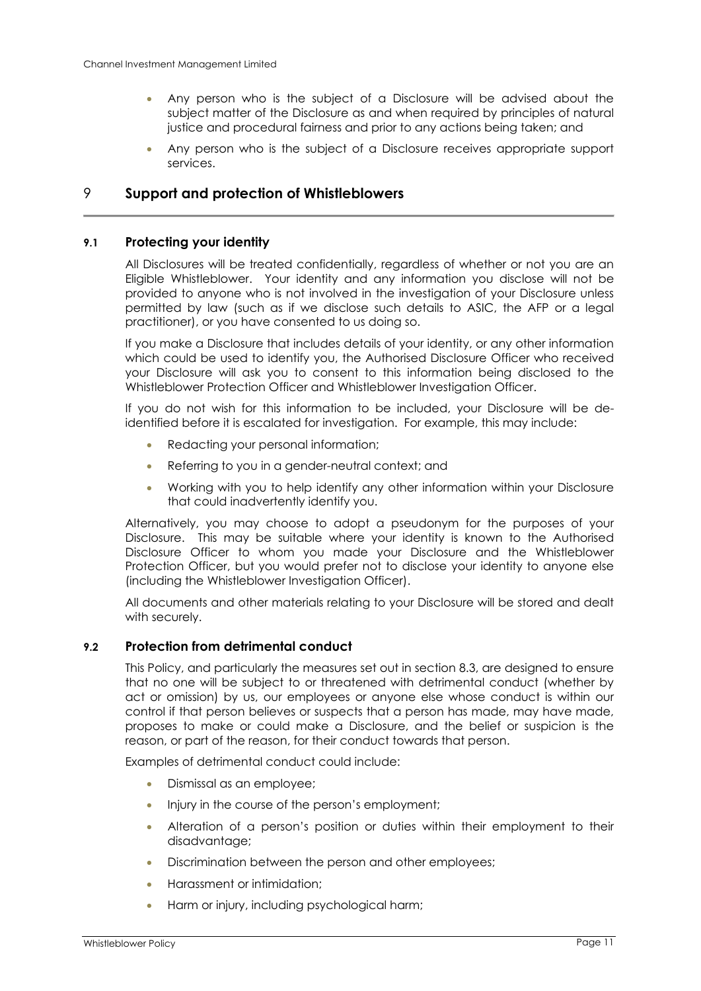- Any person who is the subject of a Disclosure will be advised about the subject matter of the Disclosure as and when required by principles of natural justice and procedural fairness and prior to any actions being taken; and
- Any person who is the subject of a Disclosure receives appropriate support services.

#### <span id="page-10-0"></span>9 **Support and protection of Whistleblowers**

#### <span id="page-10-2"></span>**9.1 Protecting your identity**

All Disclosures will be treated confidentially, regardless of whether or not you are an Eligible Whistleblower. Your identity and any information you disclose will not be provided to anyone who is not involved in the investigation of your Disclosure unless permitted by law (such as if we disclose such details to ASIC, the AFP or a legal practitioner), or you have consented to us doing so.

If you make a Disclosure that includes details of your identity, or any other information which could be used to identify you, the Authorised Disclosure Officer who received your Disclosure will ask you to consent to this information being disclosed to the Whistleblower Protection Officer and Whistleblower Investigation Officer.

If you do not wish for this information to be included, your Disclosure will be deidentified before it is escalated for investigation. For example, this may include:

- Redacting your personal information;
- Referring to you in a gender-neutral context; and
- Working with you to help identify any other information within your Disclosure that could inadvertently identify you.

Alternatively, you may choose to adopt a pseudonym for the purposes of your Disclosure. This may be suitable where your identity is known to the Authorised Disclosure Officer to whom you made your Disclosure and the Whistleblower Protection Officer, but you would prefer not to disclose your identity to anyone else (including the Whistleblower Investigation Officer).

All documents and other materials relating to your Disclosure will be stored and dealt with securely.

#### <span id="page-10-1"></span>**9.2 Protection from detrimental conduct**

This Policy, and particularly the measures set out in section [8.3,](#page-9-0) are designed to ensure that no one will be subject to or threatened with detrimental conduct (whether by act or omission) by us, our employees or anyone else whose conduct is within our control if that person believes or suspects that a person has made, may have made, proposes to make or could make a Disclosure, and the belief or suspicion is the reason, or part of the reason, for their conduct towards that person.

Examples of detrimental conduct could include:

- Dismissal as an employee;
- Injury in the course of the person's employment;
- Alteration of a person's position or duties within their employment to their disadvantage;
- Discrimination between the person and other employees;
- Harassment or intimidation;
- Harm or injury, including psychological harm;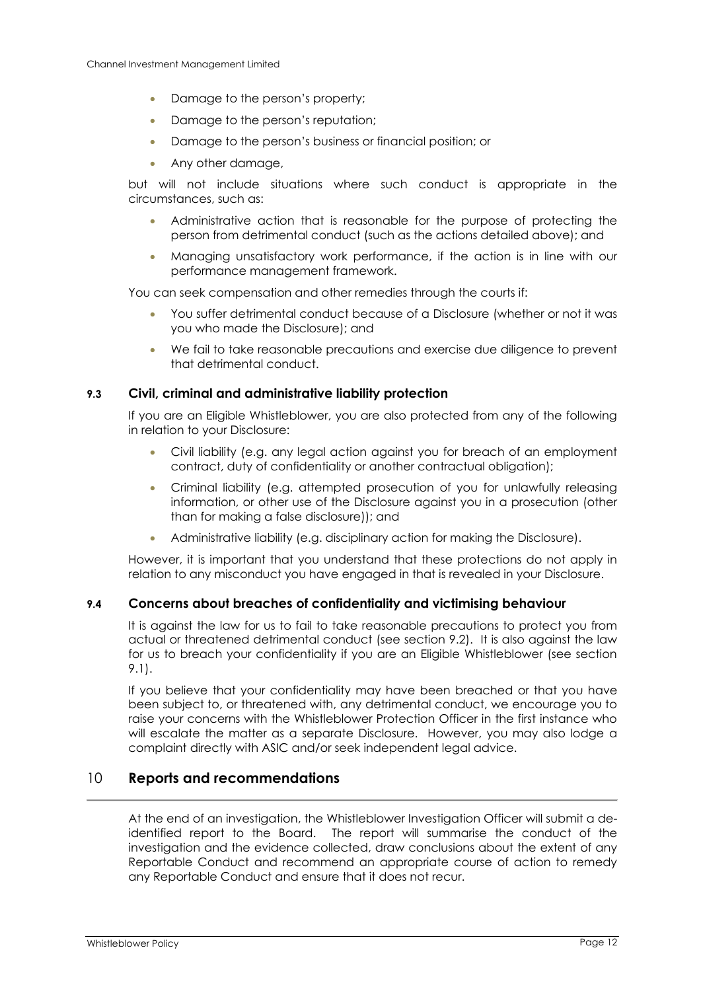- Damage to the person's property;
- Damage to the person's reputation;
- Damage to the person's business or financial position; or
- Any other damage,

but will not include situations where such conduct is appropriate in the circumstances, such as:

- Administrative action that is reasonable for the purpose of protecting the person from detrimental conduct (such as the actions detailed above); and
- Managing unsatisfactory work performance, if the action is in line with our performance management framework.

You can seek compensation and other remedies through the courts if:

- You suffer detrimental conduct because of a Disclosure (whether or not it was you who made the Disclosure); and
- We fail to take reasonable precautions and exercise due diligence to prevent that detrimental conduct.

#### **9.3 Civil, criminal and administrative liability protection**

If you are an Eligible Whistleblower, you are also protected from any of the following in relation to your Disclosure:

- Civil liability (e.g. any legal action against you for breach of an employment contract, duty of confidentiality or another contractual obligation);
- Criminal liability (e.g. attempted prosecution of you for unlawfully releasing information, or other use of the Disclosure against you in a prosecution (other than for making a false disclosure)); and
- Administrative liability (e.g. disciplinary action for making the Disclosure).

However, it is important that you understand that these protections do not apply in relation to any misconduct you have engaged in that is revealed in your Disclosure.

#### **9.4 Concerns about breaches of confidentiality and victimising behaviour**

It is against the law for us to fail to take reasonable precautions to protect you from actual or threatened detrimental conduct (see section [9.2\)](#page-10-1). It is also against the law for us to breach your confidentiality if you are an Eligible Whistleblower (see section [9.1\)](#page-10-2).

If you believe that your confidentiality may have been breached or that you have been subject to, or threatened with, any detrimental conduct, we encourage you to raise your concerns with the Whistleblower Protection Officer in the first instance who will escalate the matter as a separate Disclosure. However, you may also lodge a complaint directly with ASIC and/or seek independent legal advice.

#### <span id="page-11-0"></span>10 **Reports and recommendations**

At the end of an investigation, the Whistleblower Investigation Officer will submit a deidentified report to the Board. The report will summarise the conduct of the investigation and the evidence collected, draw conclusions about the extent of any Reportable Conduct and recommend an appropriate course of action to remedy any Reportable Conduct and ensure that it does not recur.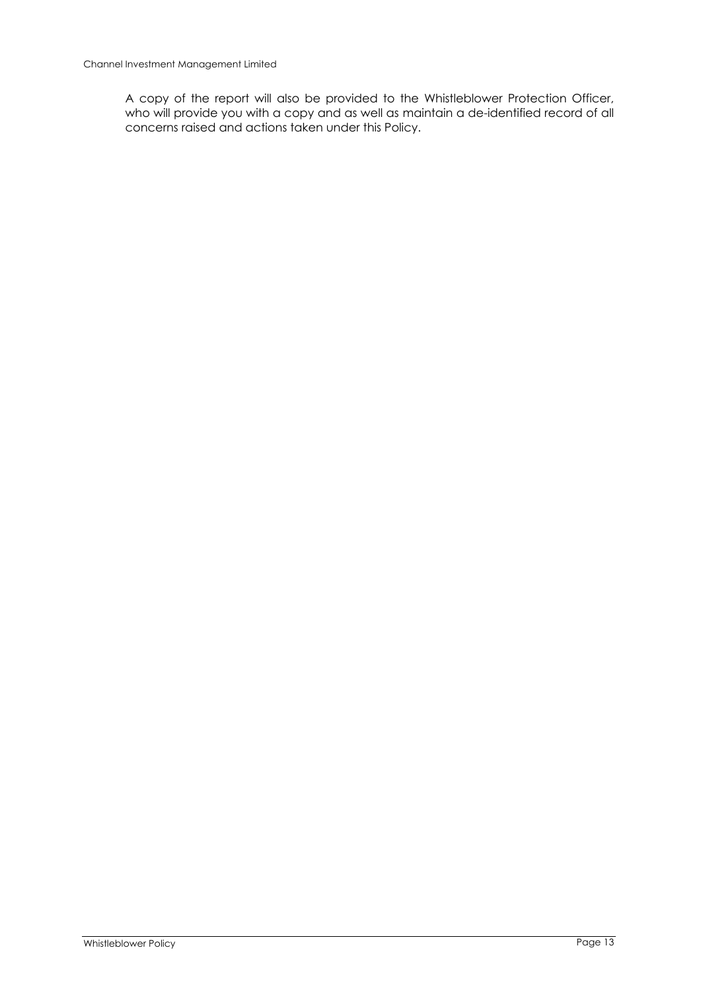A copy of the report will also be provided to the Whistleblower Protection Officer, who will provide you with a copy and as well as maintain a de-identified record of all concerns raised and actions taken under this Policy.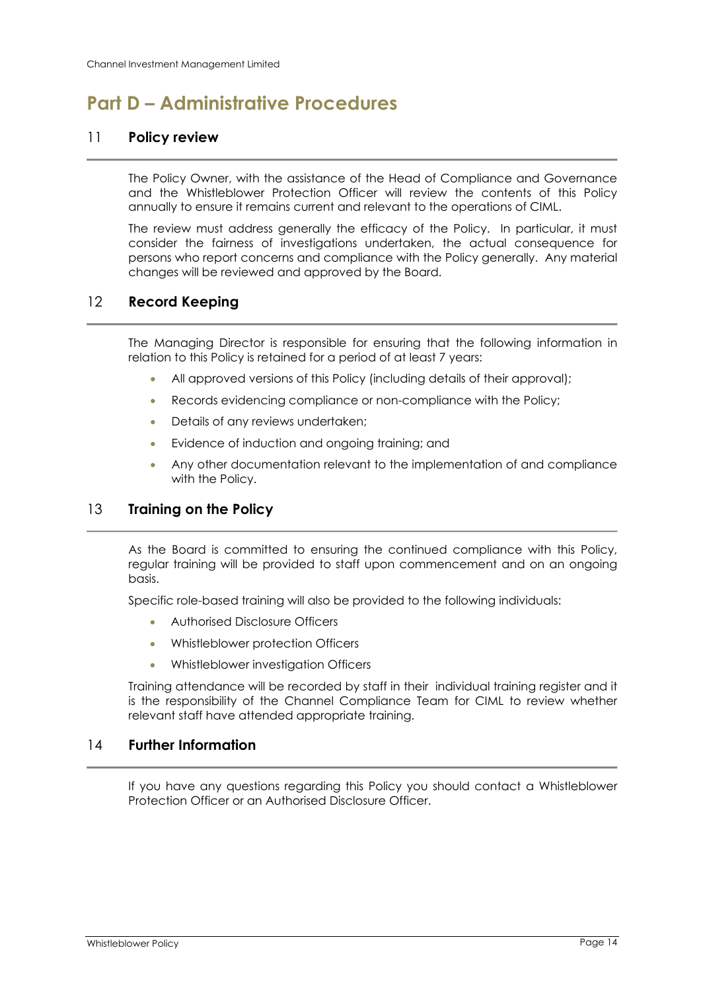## <span id="page-13-0"></span>**Part D – Administrative Procedures**

#### <span id="page-13-1"></span>11 **Policy review**

The Policy Owner, with the assistance of the Head of Compliance and Governance and the Whistleblower Protection Officer will review the contents of this Policy annually to ensure it remains current and relevant to the operations of CIML.

The review must address generally the efficacy of the Policy. In particular, it must consider the fairness of investigations undertaken, the actual consequence for persons who report concerns and compliance with the Policy generally. Any material changes will be reviewed and approved by the Board.

#### <span id="page-13-2"></span>12 **Record Keeping**

The Managing Director is responsible for ensuring that the following information in relation to this Policy is retained for a period of at least 7 years:

- All approved versions of this Policy (including details of their approval);
- Records evidencing compliance or non-compliance with the Policy;
- Details of any reviews undertaken;
- Evidence of induction and ongoing training; and
- Any other documentation relevant to the implementation of and compliance with the Policy.

#### <span id="page-13-3"></span>13 **Training on the Policy**

As the Board is committed to ensuring the continued compliance with this Policy, regular training will be provided to staff upon commencement and on an ongoing basis.

Specific role-based training will also be provided to the following individuals:

- Authorised Disclosure Officers
- Whistleblower protection Officers
- Whistleblower investigation Officers

Training attendance will be recorded by staff in their individual training register and it is the responsibility of the Channel Compliance Team for CIML to review whether relevant staff have attended appropriate training.

#### <span id="page-13-4"></span>14 **Further Information**

If you have any questions regarding this Policy you should contact a Whistleblower Protection Officer or an Authorised Disclosure Officer.